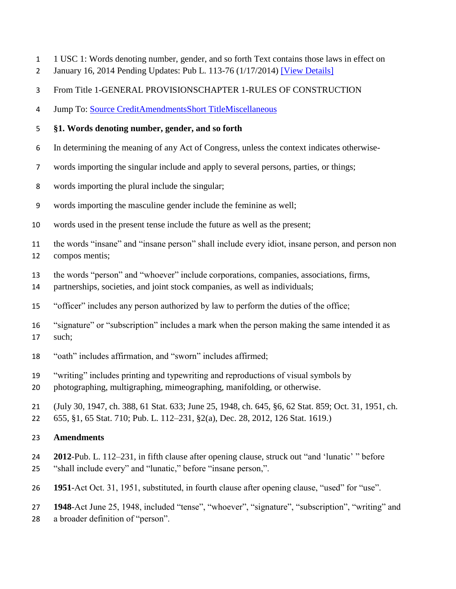- 1 USC 1: Words denoting number, gender, and so forth Text contains those laws in effect on
- January 16, 2014 Pending Updates: Pub L. 113-76 (1/17/2014) [\[View Details\]](http://uscode.house.gov/view.xhtml?req=granuleid:USC-prelim-title1-section1&num=0&edition=prelim)
- From Title 1-GENERAL PROVISIONSCHAPTER 1-RULES OF CONSTRUCTION
- Jump To: [Source CreditAmendments](http://uscode.house.gov/view.xhtml?req=granuleid:USC-prelim-title1-section1&num=0&edition=prelim#sourcecredit)[Short TitleMiscellaneous](http://uscode.house.gov/view.xhtml?req=granuleid:USC-prelim-title1-section1&num=0&edition=prelim#shorttitle-amendment-note)

#### **§1. Words denoting number, gender, and so forth**

- In determining the meaning of any Act of Congress, unless the context indicates otherwise-
- words importing the singular include and apply to several persons, parties, or things;
- words importing the plural include the singular;
- words importing the masculine gender include the feminine as well;
- words used in the present tense include the future as well as the present;
- the words "insane" and "insane person" shall include every idiot, insane person, and person non compos mentis;
- the words "person" and "whoever" include corporations, companies, associations, firms,
- partnerships, societies, and joint stock companies, as well as individuals;
- "officer" includes any person authorized by law to perform the duties of the office;
- "signature" or "subscription" includes a mark when the person making the same intended it as such;
- "oath" includes affirmation, and "sworn" includes affirmed;
- "writing" includes printing and typewriting and reproductions of visual symbols by
- photographing, multigraphing, mimeographing, manifolding, or otherwise.
- (July 30, 1947, ch. 388, 61 Stat. 633; June 25, 1948, ch. 645, §6, 62 Stat. 859; Oct. 31, 1951, ch. 655, §1, 65 Stat. 710; Pub. L. 112–231, §2(a), Dec. 28, 2012, 126 Stat. 1619.)

#### **Amendments**

- **2012**-Pub. L. 112–231, in fifth clause after opening clause, struck out "and 'lunatic' " before "shall include every" and "lunatic," before "insane person,".
- **1951**-Act Oct. 31, 1951, substituted, in fourth clause after opening clause, "used" for "use".

 **1948**-Act June 25, 1948, included "tense", "whoever", "signature", "subscription", "writing" and a broader definition of "person".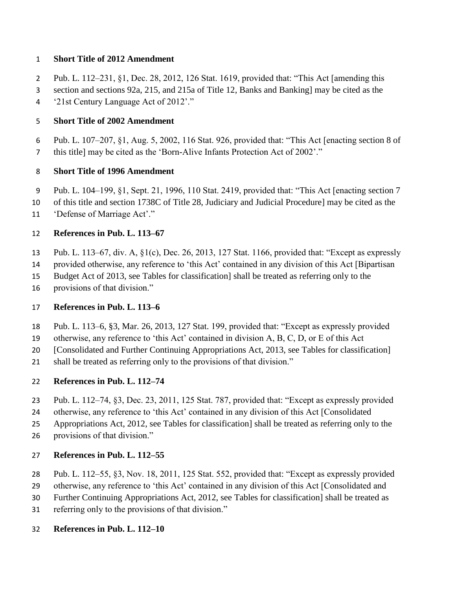#### **Short Title of 2012 Amendment**

Pub. L. 112–231, §1, Dec. 28, 2012, 126 Stat. 1619, provided that: "This Act [amending this

 section and sections 92a, 215, and 215a of Title 12, Banks and Banking] may be cited as the '21st Century Language Act of 2012'."

# **Short Title of 2002 Amendment**

 Pub. L. 107–207, §1, Aug. 5, 2002, 116 Stat. 926, provided that: "This Act [enacting section 8 of this title] may be cited as the 'Born-Alive Infants Protection Act of 2002'."

#### **Short Title of 1996 Amendment**

- Pub. L. 104–199, §1, Sept. 21, 1996, 110 Stat. 2419, provided that: "This Act [enacting section 7
- of this title and section 1738C of Title 28, Judiciary and Judicial Procedure] may be cited as the
- 'Defense of Marriage Act'."

#### **References in Pub. L. 113–67**

- Pub. L. 113–67, div. A, §1(c), Dec. 26, 2013, 127 Stat. 1166, provided that: "Except as expressly
- provided otherwise, any reference to 'this Act' contained in any division of this Act [Bipartisan
- Budget Act of 2013, see Tables for classification] shall be treated as referring only to the
- provisions of that division."

#### **References in Pub. L. 113–6**

- Pub. L. 113–6, §3, Mar. 26, 2013, 127 Stat. 199, provided that: "Except as expressly provided
- otherwise, any reference to 'this Act' contained in division A, B, C, D, or E of this Act
- [Consolidated and Further Continuing Appropriations Act, 2013, see Tables for classification]
- shall be treated as referring only to the provisions of that division."

#### **References in Pub. L. 112–74**

- Pub. L. 112–74, §3, Dec. 23, 2011, 125 Stat. 787, provided that: "Except as expressly provided
- otherwise, any reference to 'this Act' contained in any division of this Act [Consolidated
- Appropriations Act, 2012, see Tables for classification] shall be treated as referring only to the
- provisions of that division."

#### **References in Pub. L. 112–55**

- Pub. L. 112–55, §3, Nov. 18, 2011, 125 Stat. 552, provided that: "Except as expressly provided
- otherwise, any reference to 'this Act' contained in any division of this Act [Consolidated and
- Further Continuing Appropriations Act, 2012, see Tables for classification] shall be treated as
- referring only to the provisions of that division."

#### **References in Pub. L. 112–10**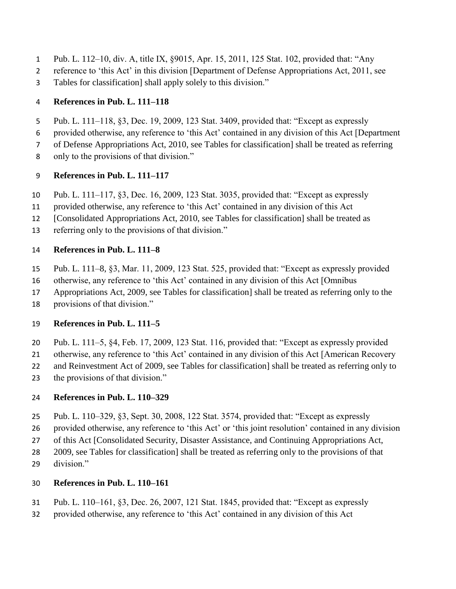- Pub. L. 112–10, div. A, title IX, §9015, Apr. 15, 2011, 125 Stat. 102, provided that: "Any
- reference to 'this Act' in this division [Department of Defense Appropriations Act, 2011, see
- Tables for classification] shall apply solely to this division."

### **References in Pub. L. 111–118**

- Pub. L. 111–118, §3, Dec. 19, 2009, 123 Stat. 3409, provided that: "Except as expressly
- provided otherwise, any reference to 'this Act' contained in any division of this Act [Department
- of Defense Appropriations Act, 2010, see Tables for classification] shall be treated as referring
- only to the provisions of that division."

## **References in Pub. L. 111–117**

- Pub. L. 111–117, §3, Dec. 16, 2009, 123 Stat. 3035, provided that: "Except as expressly
- provided otherwise, any reference to 'this Act' contained in any division of this Act
- [Consolidated Appropriations Act, 2010, see Tables for classification] shall be treated as
- referring only to the provisions of that division."

### **References in Pub. L. 111–8**

- Pub. L. 111–8, §3, Mar. 11, 2009, 123 Stat. 525, provided that: "Except as expressly provided
- otherwise, any reference to 'this Act' contained in any division of this Act [Omnibus
- Appropriations Act, 2009, see Tables for classification] shall be treated as referring only to the
- provisions of that division."

## **References in Pub. L. 111–5**

- Pub. L. 111–5, §4, Feb. 17, 2009, 123 Stat. 116, provided that: "Except as expressly provided
- otherwise, any reference to 'this Act' contained in any division of this Act [American Recovery
- and Reinvestment Act of 2009, see Tables for classification] shall be treated as referring only to
- the provisions of that division."

## **References in Pub. L. 110–329**

- Pub. L. 110–329, §3, Sept. 30, 2008, 122 Stat. 3574, provided that: "Except as expressly
- provided otherwise, any reference to 'this Act' or 'this joint resolution' contained in any division
- of this Act [Consolidated Security, Disaster Assistance, and Continuing Appropriations Act,
- 2009, see Tables for classification] shall be treated as referring only to the provisions of that
- division."

## **References in Pub. L. 110–161**

- Pub. L. 110–161, §3, Dec. 26, 2007, 121 Stat. 1845, provided that: "Except as expressly
- provided otherwise, any reference to 'this Act' contained in any division of this Act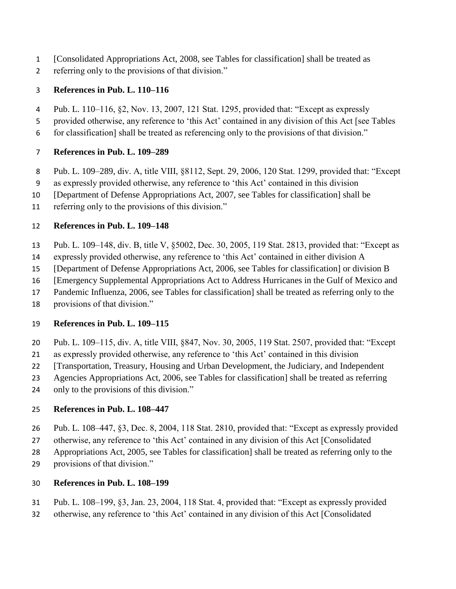- [Consolidated Appropriations Act, 2008, see Tables for classification] shall be treated as
- referring only to the provisions of that division."

### **References in Pub. L. 110–116**

- Pub. L. 110–116, §2, Nov. 13, 2007, 121 Stat. 1295, provided that: "Except as expressly
- provided otherwise, any reference to 'this Act' contained in any division of this Act [see Tables
- for classification] shall be treated as referencing only to the provisions of that division."

### **References in Pub. L. 109–289**

- Pub. L. 109–289, div. A, title VIII, §8112, Sept. 29, 2006, 120 Stat. 1299, provided that: "Except
- as expressly provided otherwise, any reference to 'this Act' contained in this division
- [Department of Defense Appropriations Act, 2007, see Tables for classification] shall be
- referring only to the provisions of this division."

### **References in Pub. L. 109–148**

- Pub. L. 109–148, div. B, title V, §5002, Dec. 30, 2005, 119 Stat. 2813, provided that: "Except as
- expressly provided otherwise, any reference to 'this Act' contained in either division A
- [Department of Defense Appropriations Act, 2006, see Tables for classification] or division B
- [Emergency Supplemental Appropriations Act to Address Hurricanes in the Gulf of Mexico and
- Pandemic Influenza, 2006, see Tables for classification] shall be treated as referring only to the
- provisions of that division."

## **References in Pub. L. 109–115**

- Pub. L. 109–115, div. A, title VIII, §847, Nov. 30, 2005, 119 Stat. 2507, provided that: "Except
- as expressly provided otherwise, any reference to 'this Act' contained in this division
- [Transportation, Treasury, Housing and Urban Development, the Judiciary, and Independent
- Agencies Appropriations Act, 2006, see Tables for classification] shall be treated as referring
- only to the provisions of this division."

## **References in Pub. L. 108–447**

- Pub. L. 108–447, §3, Dec. 8, 2004, 118 Stat. 2810, provided that: "Except as expressly provided
- otherwise, any reference to 'this Act' contained in any division of this Act [Consolidated
- Appropriations Act, 2005, see Tables for classification] shall be treated as referring only to the
- provisions of that division."

## **References in Pub. L. 108–199**

- Pub. L. 108–199, §3, Jan. 23, 2004, 118 Stat. 4, provided that: "Except as expressly provided
- otherwise, any reference to 'this Act' contained in any division of this Act [Consolidated